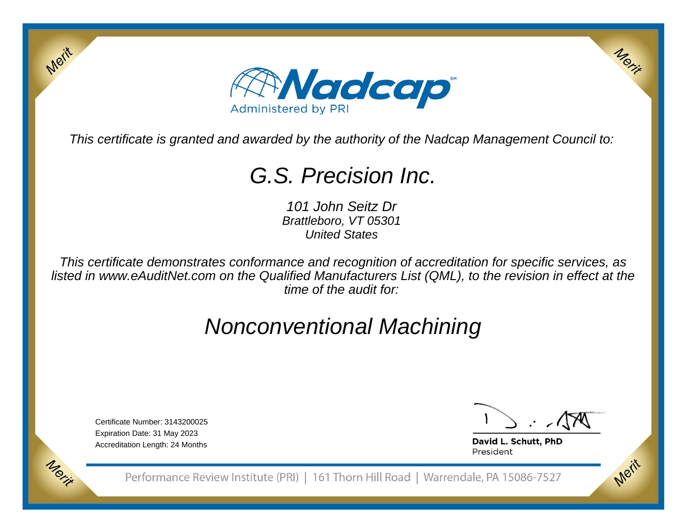

This certificate is granted and awarded by the authority of the Nadcap Management Council to:

# G.S. Precision Inc.

101 John Seitz Dr Brattleboro, VT 05301United States

This certificate demonstrates conformance and recognition of accreditation for specific services, as listed in www.eAuditNet.com on the Qualified Manufacturers List (QML), to the revision in effect at thetime of the audit for:

# Nonconventional Machining

Certificate Number: 3143200025Expiration Date: 31 May 2023Accreditation Length: 24 Months

Merit

Morie

Merit

Merit

David L. Schutt, PhD President

Performance Review Institute (PRI) | 161 Thorn Hill Road | Warrendale, PA 15086-7527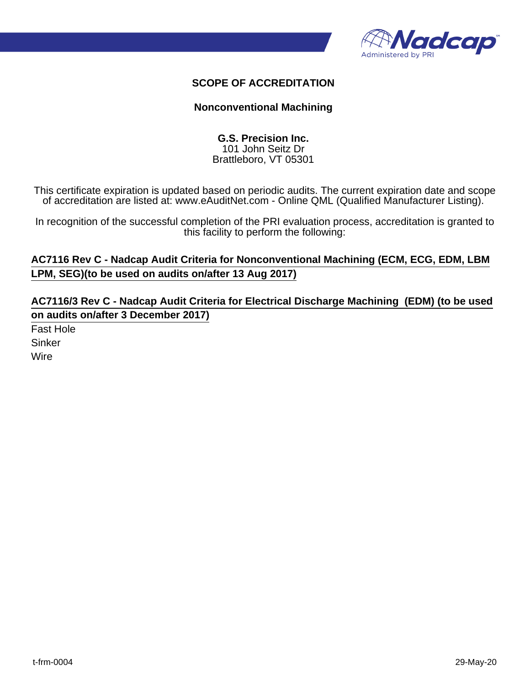

### **SCOPE OF ACCREDITATION**

#### **Nonconventional Machining**

#### **G.S. Precision Inc.** 101 John Seitz Dr Brattleboro, VT 05301

This certificate expiration is updated based on periodic audits. The current expiration date and scope of accreditation are listed at: www.eAuditNet.com - Online QML (Qualified Manufacturer Listing).

In recognition of the successful completion of the PRI evaluation process, accreditation is granted to this facility to perform the following:

## **AC7116 Rev C - Nadcap Audit Criteria for Nonconventional Machining (ECM, ECG, EDM, LBM LPM, SEG)(to be used on audits on/after 13 Aug 2017)**

**AC7116/3 Rev C - Nadcap Audit Criteria for Electrical Discharge Machining (EDM) (to be used on audits on/after 3 December 2017)**

Fast Hole Sinker Wire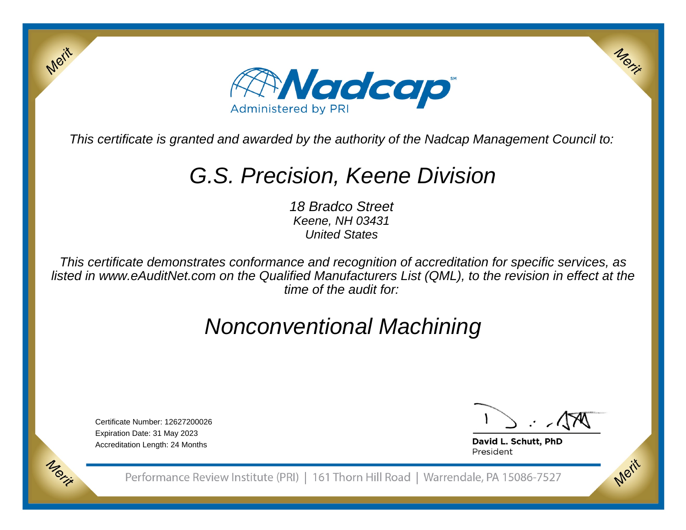

This certificate is granted and awarded by the authority of the Nadcap Management Council to:

# G.S. Precision, Keene Division

18 Bradco Street Keene, NH 03431United States

This certificate demonstrates conformance and recognition of accreditation for specific services, as listed in www.eAuditNet.com on the Qualified Manufacturers List (QML), to the revision in effect at thetime of the audit for:

## Nonconventional Machining

Certificate Number: 12627200026Expiration Date: 31 May 2023Accreditation Length: 24 Months

Merit

Morie

Merit

Merit

David L. Schutt, PhD President

Performance Review Institute (PRI) | 161 Thorn Hill Road | Warrendale, PA 15086-7527